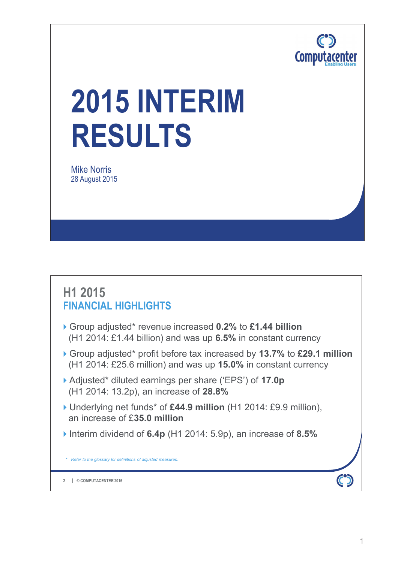

# **2015 INTERIM RESULTS**

Mike Norris 28 August 2015

### **H1 2015 FINANCIAL HIGHLIGHTS**

- Group adjusted\* revenue increased **0.2%** to **£1.44 billion**  (H1 2014: £1.44 billion) and was up **6.5%** in constant currency
- Group adjusted\* profit before tax increased by **13.7%** to **£29.1 million**  (H1 2014: £25.6 million) and was up **15.0%** in constant currency
- Adjusted\* diluted earnings per share ('EPS') of **17.0p** (H1 2014: 13.2p), an increase of **28.8%**
- Underlying net funds\* of **£44.9 million** (H1 2014: £9.9 million), an increase of £**35.0 million**
- Interim dividend of **6.4p** (H1 2014: 5.9p), an increase of **8.5%**

*\* Refer to the glossary for definitions of adjusted measures.*

**© COMPUTACENTER 2015 2**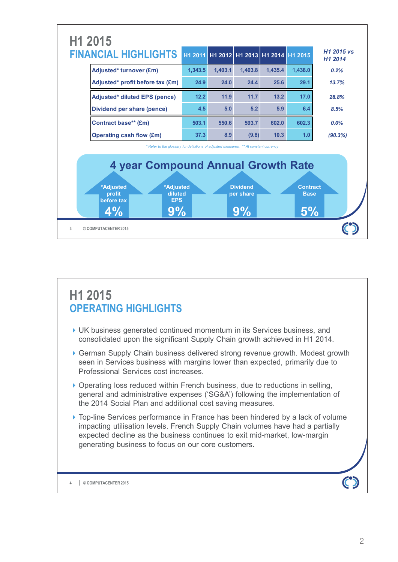

### **H1 2015 OPERATING HIGHLIGHTS**

- UK business generated continued momentum in its Services business, and consolidated upon the significant Supply Chain growth achieved in H1 2014.
- German Supply Chain business delivered strong revenue growth. Modest growth seen in Services business with margins lower than expected, primarily due to Professional Services cost increases.
- ▶ Operating loss reduced within French business, due to reductions in selling, general and administrative expenses ('SG&A') following the implementation of the 2014 Social Plan and additional cost saving measures.
- ▶ Top-line Services performance in France has been hindered by a lack of volume impacting utilisation levels. French Supply Chain volumes have had a partially expected decline as the business continues to exit mid-market, low-margin generating business to focus on our core customers.

**© COMPUTACENTER 2015 4**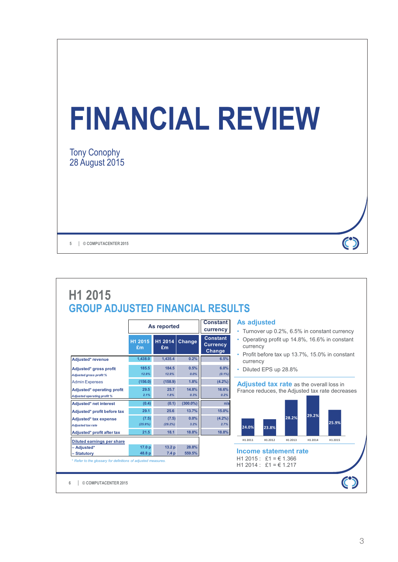| <b>FINANCIAL REVIEW</b>                      |  |
|----------------------------------------------|--|
| <b>Tony Conophy</b><br><b>28 August 2015</b> |  |
| 5<br><b>COMPUTACENTER 2015</b>               |  |

| H1 2015                                 |
|-----------------------------------------|
| <b>GROUP ADJUSTED FINANCIAL RESULTS</b> |

|                                                            |                   | As reported      |               | <b>Constant</b><br>currency                         |
|------------------------------------------------------------|-------------------|------------------|---------------|-----------------------------------------------------|
|                                                            | H1 2015<br>£m     | H1 2014<br>£m    | Change        | <b>Constant</b><br><b>Currency</b><br><b>Change</b> |
| Adjusted* revenue                                          | 1,438.0           | 1,435.4          | 0.2%          | 6.5%                                                |
| Adjusted* gross profit<br>Adjusted gross profit %          | 185.5<br>12.9%    | 184.5<br>12.9%   | 0.5%<br>0.0%  | 6.0%<br>$(0.1\%)$                                   |
| <b>Admin Expenses</b>                                      | (156.0)           | (158.9)          | 1.8%          | (4.2%)                                              |
| Adjusted* operating profit<br>A djusted operating profit % | 29.5<br>2.1%      | 25.7<br>1.8%     | 14.8%<br>0.3% | 16.6%<br>0.2%                                       |
| Adjusted* net interest                                     | (0.4)             | (0.1)            | $(300.0\%)$   |                                                     |
| Adjusted* profit before tax                                | 29.1              | 25.6             | 13.7%         | 15.0%                                               |
| Adjusted* tax expense<br>Adjusted tax rate                 | (7.5)<br>(25.9%)  | (7.5)<br>(29.2%) | 0.0%<br>3.2%  | $(4.2\%)$<br>2.7%                                   |
| Adjusted* profit after tax                                 | 21.5              | 18.1             | 18.8%         | 18.8%                                               |
| <b>Diluted earnings per share</b>                          |                   |                  |               |                                                     |
| - Adjusted*                                                | 17.0 <sub>p</sub> | 13.2 p           | 28.8%         |                                                     |
| - Statutory                                                | 48.8 p            | 7.4p             | 559.5%        |                                                     |

#### **As adjusted**

- Turnover up 0.2%, 6.5% in constant currency
- Operating profit up 14.8%, 16.6% in constant currency
- Profit before tax up 13.7%, 15.0% in constant currency
- Diluted EPS up 28.8%

**Adjusted tax rate** as the overall loss in France reduces, the Adjusted tax rate decreases



**© COMPUTACENTER 2015 6**

 $\odot$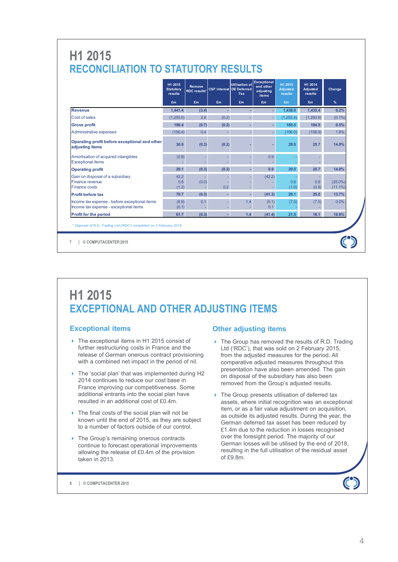### **H1 2015 RECONCILIATION TO STATUTORY RESULTS**

|                                                                                         | H1 2015<br><b>Statutory</b><br>results | Remove<br><b>RDC</b> results* |          | <b>Utilisation of</b><br><b>CSF interest DE Deferred</b><br><b>Tax</b> | <b>Exceptional</b><br>and other<br>adjusting<br>items | H1 2015<br><b>Adjusted</b><br><b>results</b> | H1 2014<br><b>Adjusted</b><br>results | Change                   |
|-----------------------------------------------------------------------------------------|----------------------------------------|-------------------------------|----------|------------------------------------------------------------------------|-------------------------------------------------------|----------------------------------------------|---------------------------------------|--------------------------|
|                                                                                         | £m                                     | £m                            | £m       | £m                                                                     | £m                                                    | £m                                           | £m                                    | %                        |
| <b>Revenue</b>                                                                          | 1.441.4                                | (3.4)                         |          |                                                                        |                                                       | 1,438.0                                      | 1,435.4                               | 0.2%                     |
| Cost of sales                                                                           | (1,255.0)                              | 2.8                           | (0.2)    |                                                                        |                                                       | 1.252.4                                      | (1,250.9)                             | (0.1%                    |
| <b>Gross profit</b>                                                                     | 186.4                                  | (0.7)                         | (0.2)    |                                                                        |                                                       | 185.5                                        | 184.5                                 | 0.5%                     |
| <b>Administrative expenses</b>                                                          | (156.4)                                | 0.4                           | ×,       |                                                                        |                                                       | (156.0)                                      | (158.9)                               | 1.8%                     |
| Operating profit before exceptional and other<br>adjusting items                        | 30.0                                   | (0.3)                         | (0.2)    |                                                                        |                                                       | 29.5                                         | 25.7                                  | 14.8%                    |
| Amortisation of acquired intangibles<br><b>Exceptional items</b>                        | (0.9)                                  |                               | -        |                                                                        | 0.9                                                   |                                              |                                       |                          |
| <b>Operating profit</b>                                                                 | 29.1                                   | (0.3)                         | (0.2)    |                                                                        | 0.9                                                   | 29.5                                         | 25.7                                  | 14.8%                    |
| Gain on disposal of a subsidiary<br>Finance revenue<br><b>Finance costs</b>             | 42.2<br>0.6<br>(1.2)                   | (0.0)                         | ٠<br>0.2 |                                                                        | (42.2)                                                | 0.6<br>(1.0)                                 | 0.8<br>(0.9)                          | $(25.0\%)$<br>$(11.1\%)$ |
| <b>Profit before tax</b>                                                                | 70.7                                   | (0.3)                         | ×,       | ä,                                                                     | (41.3)                                                | 29.1                                         | 25.6                                  | 13.7%                    |
| Income tax expense - before exceptional items<br>Income tax expense - exceptional items | (8.9)<br>(0.1)                         | 0.1                           |          | 1.4                                                                    | (0.1)<br>0.1                                          | (7.5)                                        | (7.5)                                 | 0.0%                     |
| <b>Profit for the period</b>                                                            | 61.7                                   | (0.3)                         | ٠        | 1.4                                                                    | (41.4)                                                | 21.5                                         | 18.1                                  | 18.8%                    |

**© COMPUTACENTER 2015 7**

### **H1 2015 EXCEPTIONAL AND OTHER ADJUSTING ITEMS**

#### **Exceptional items**

- ▶ The exceptional items in H1 2015 consist of further restructuring costs in France and the release of German onerous contract provisioning with a combined net impact in the period of nil.
- The 'social plan' that was implemented during H2 2014 continues to reduce our cost base in France improving our competitiveness. Some additional entrants into the social plan have resulted in an additional cost of £0.4m.
- ▶ The final costs of the social plan will not be known until the end of 2015, as they are subject to a number of factors outside of our control.
- ▶ The Group's remaining onerous contracts continue to forecast operational improvements allowing the release of £0.4m of the provision taken in 2013.

#### **Other adjusting items**

- ▶ The Group has removed the results of R.D. Trading Ltd ('RDC'), that was sold on 2 February 2015, from the adjusted measures for the period. All comparative adjusted measures throughout this presentation have also been amended. The gain on disposal of the subsidiary has also been removed from the Group's adjusted results.
- ▶ The Group presents utilisation of deferred tax assets, where initial recognition was an exceptional item, or as a fair value adjustment on acquisition, as outside its adjusted results. During the year, the German deferred tax asset has been reduced by £1.4m due to the reduction in losses recognised over the foresight period. The majority of our German losses will be utilised by the end of 2018, resulting in the full utilisation of the residual asset of £9.8m.

**© COMPUTACENTER 2015 8**

 $\mathbf C$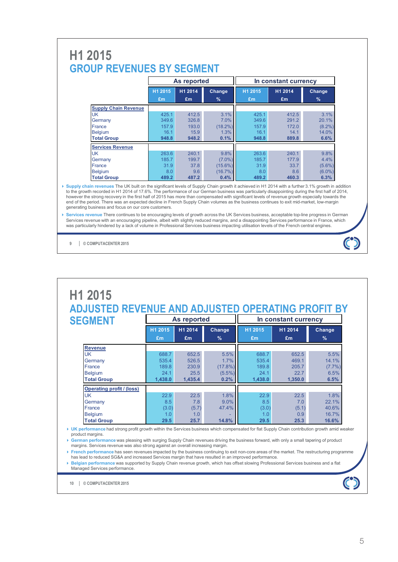### **H1 2015 GROUP REVENUES BY SEGMENT**

|                             |         | As reported |            |         | In constant currency |           |
|-----------------------------|---------|-------------|------------|---------|----------------------|-----------|
|                             | H1 2015 | H1 2014     | Change     | H1 2015 | H1 2014              | Change    |
|                             | £m      | Em          | $\%$       | Em      | £m                   | %         |
| <b>Supply Chain Revenue</b> |         |             |            |         |                      |           |
| <b>UK</b>                   | 425.1   | 412.5       | 3.1%       | 425.1   | 412.5                | 3.1%      |
| Germany                     | 349.6   | 326.8       | 7.0%       | 349.6   | 291.2                | 20.1%     |
| France                      | 157.9   | 193.0       | $(18.2\%)$ | 157.9   | 172.0                | $(8.2\%)$ |
| <b>Belgium</b>              | 16.1    | 15.9        | 1.3%       | 16.1    | 14.1                 | 14.0%     |
| <b>Total Group</b>          | 948.8   | 948.2       | 0.1%       | 948.8   | 889.8                | 6.6%      |
| <b>Services Revenue</b>     |         |             |            |         |                      |           |
| UK                          | 263.6   | 240.1       | 9.8%       | 263.6   | 240.1                | 9.8%      |
| Germany                     | 185.7   | 199.7       | $(7.0\%)$  | 185.7   | 177.9                | 4.4%      |
| France                      | 31.9    | 37.8        | $(15.6\%)$ | 31.9    | 33.7                 | $(5.6\%)$ |
| <b>Belgium</b>              | 8.0     | 9.6         | (16.7%)    | 8.0     | 8.6                  | $(6.0\%)$ |
| <b>Total Group</b>          | 489.2   | 487.2       | 0.4%       | 489.2   | 460.3                | 6.3%      |

Supply chain revenues The UK built on the significant levels of Supply Chain growth it achieved in H1 2014 with a further 3.1% growth in addition to the growth recorded in H1 2014 of 17.6%. The performance of our German b however the strong recovery in the first half of 2015 has more than compensated with significant levels of revenue growth especially towards the end of the period. There was an expected decline in French Supply Chain volumes as the business continues to exit mid-market, low-margin generating business and focus on our core customers.

|                                  |         |             |               | ADJUSTED REVENUE AND ADJUSTED OPERATING PROFIT BY |                      |               |
|----------------------------------|---------|-------------|---------------|---------------------------------------------------|----------------------|---------------|
| <b>SEGMENT</b>                   |         | As reported |               |                                                   | In constant currency |               |
|                                  | H1 2015 | H1 2014     | Change        | H1 2015                                           | H1 2014              | Change        |
|                                  | £m      | £m          | $\frac{9}{6}$ | £m                                                | £m                   | $\frac{9}{6}$ |
| <b>Revenue</b>                   |         |             |               |                                                   |                      |               |
| <b>UK</b>                        | 688.7   | 652.5       | 5.5%          | 688.7                                             | 652.5                | 5.5%          |
| Germany                          | 535.4   | 526.5       | 1.7%          | 535.4                                             | 469.1                | 14.1%         |
| France                           | 189.8   | 230.9       | $(17.8\%)$    | 189.8                                             | 205.7                | $(7.7\%)$     |
| <b>Belgium</b>                   | 24.1    | 25.5        | $(5.5\%)$     | 24.1                                              | 22.7                 | 6.5%          |
| <b>Total Group</b>               | 1.438.0 | 1,435.4     | 0.2%          | 1,438.0                                           | 1,350.0              | 6.5%          |
| <b>Operating profit / (loss)</b> |         |             |               |                                                   |                      |               |
| <b>UK</b>                        | 22.9    | 22.5        | 1.8%          | 22.9                                              | 22.5                 | 1.8%          |
| Germany                          | 8.5     | 7.8         | 9.0%          | 8.5                                               | 7.0                  | 22.1%         |
| France                           | (3.0)   | (5.7)       | 47.4%         | (3.0)                                             | (5.1)                | 40.6%         |
| <b>Belgium</b>                   | 1.0     | 1.0         |               | 1.0                                               | 0.9                  | 16.7%         |
| <b>Total Group</b>               | 29.5    | 25.7        | 14.8%         | 29.5                                              | 25.3                 | 16.6%         |

product margins. **German performance** was pleasing with surging Supply Chain revenues driving the business forward, with only a small tapering of product margins. Services revenue was also strong against an overall increasing margin.

**French performance has seen revenues impacted by the business continuing to exit non-core areas of the market. The restructuring programme** has lead to reduced SG&A and increased Services margin that have resulted in an improved performance.

 **Belgian performance** was supported by Supply Chain revenue growth, which has offset slowing Professional Services business and a flat Managed Services performance.

**© COMPUTACENTER 2015 10**

 $\mathbf C$ 

**Services revenue** There continues to be encouraging levels of growth across the UK Services business, acceptable top-line progress in German Services revenue with an encouraging pipeline, albeit with slightly reduced margins, and a disappointing Services performance in France, which<br>was particularly hindered by a lack of volume in Professional Services business

**<sup>©</sup> COMPUTACENTER 2015 9**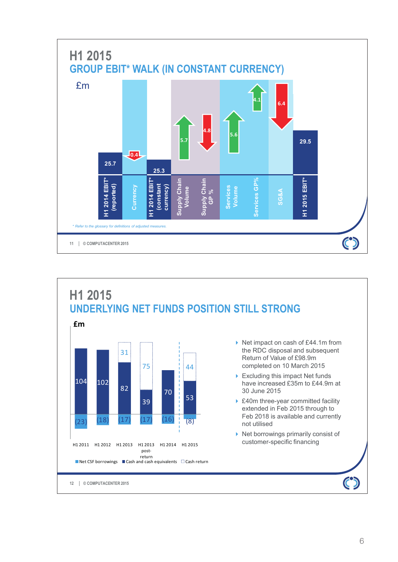

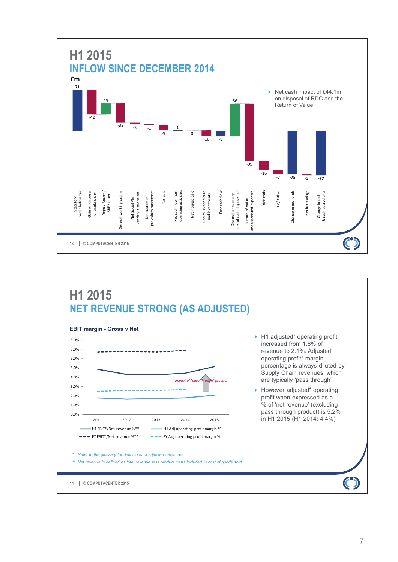

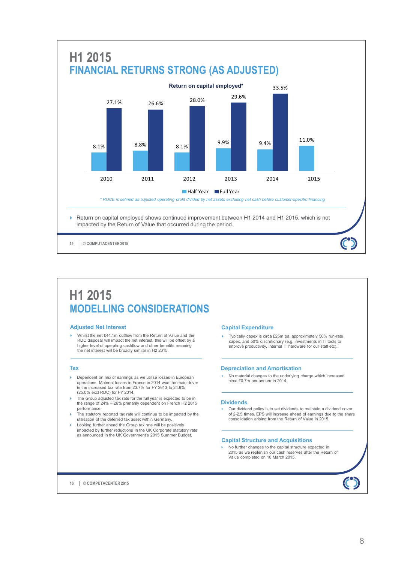

### **H1 2015 MODELLING CONSIDERATIONS**

#### **Adjusted Net Interest**

 Whilst the net £44.1m outflow from the Return of Value and the RDC disposal will impact the net interest, this will be offset by a higher level of operating cashflow and other benefits meaning the net interest will be broadly similar in H2 2015.

#### **Tax**

- **Dependent on mix of earnings as we utilise losses in European** operations. Material losses in France in 2014 was the main driver in the increased tax rate from 23.7% for FY 2013 to 24.9% (25.0% excl RDC) for FY 2014.
- The Group adjusted tax rate for the full year is expected to be in the range of 24% 26% primarily dependent on French H2 2015 performance.
- The statutory reported tax rate will continue to be impacted by the utilisation of the deferred tax asset within Germany.
- Looking further ahead the Group tax rate will be positively impacted by further reductions in the UK Corporate statutory rate as announced in the UK Government's 2015 Summer Budget.

#### **Capital Expenditure**

Typically capex is circa £25m pa, approximately 50% run-rate capex, and 50% discretionary (e.g. investments in IT tools to improve productivity, internal IT hardware for our staff etc).

#### **Depreciation and Amortisation**

 No material changes to the underlying charge which increased circa £0.7m per annum in 2014.

#### **Dividends**

 Our dividend policy is to set dividends to maintain a dividend cover of 2-2.5 times. EPS will increase ahead of earnings due to the share consolidation arising from the Return of Value in 2015.

#### **Capital Structure and Acquisitions**

 No further changes to the capital structure expected in 2015 as we replenish our cash reserves after the Return of Value completed on 10 March 2015.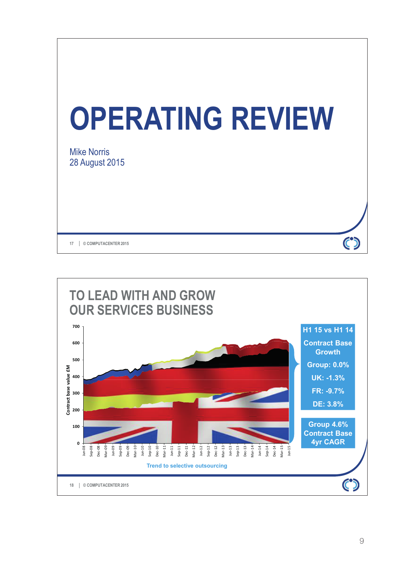

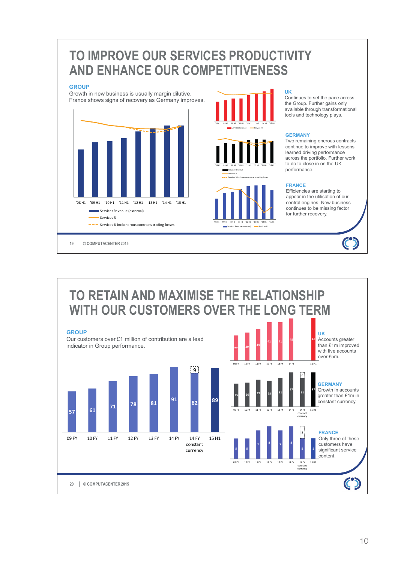### **TO IMPROVE OUR SERVICES PRODUCTIVITY AND ENHANCE OUR COMPETITIVENESS**

#### **GROUP**

Growth in new business is usually margin dilutive. France shows signs of recovery as Germany improves.







Services Revenue (external) - Services%

'08 H1 '09 H1 '10 H1 '11 H1 '12 H1 '13 H1 '14 H1 '15 H1

**UK**

Continues to set the pace across the Group. Further gains only available through transformational tools and technology plays.

#### **GERMANY**

Two remaining onerous contracts continue to improve with lessons learned driving performance across the portfolio. Further work to do to close in on the UK performance.

#### **FRANCE**

Efficiencies are starting to appear in the utilisation of our central engines. New business continues to be missing factor for further recovery.

 $\mathbf C$ 

#### **27 30 <sup>34</sup> 41 41 45 46**  09 FY 10 FY 11 FY 12 FY 13 FY 14 FY 15 H1 **TO RETAIN AND MAXIMISE THE RELATIONSHIP WITH OUR CUSTOMERS OVER THE LONG TERM UK** Accounts greater than £1m improved with five accounts over £5m. **GROUP** Our customers over £1 million of contribution are a lead indicator in Group performance.

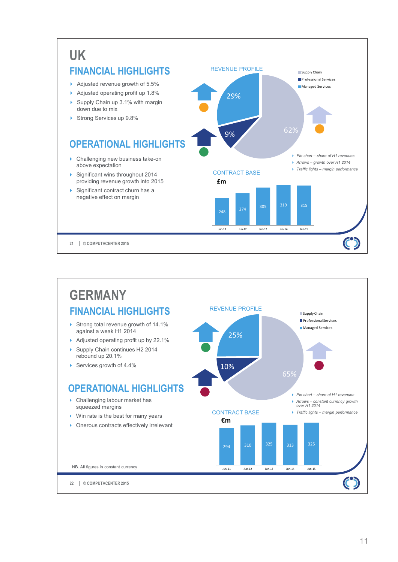### **UK FINANCIAL HIGHLIGHTS**

- Adjusted revenue growth of 5.5%
- Adjusted operating profit up 1.8%
- $\triangleright$  Supply Chain up 3.1% with margin down due to mix
- Strong Services up 9.8%

### **OPERATIONAL HIGHLIGHTS**

- ▶ Challenging new business take-on above expectation
- Significant wins throughout 2014 providing revenue growth into 2015
- Significant contract churn has a negative effect on margin



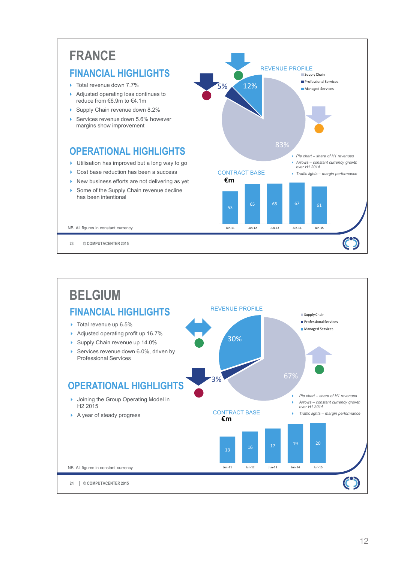#### **FRANCE** REVENUE PROFILE **FINANCIAL HIGHLIGHTS Supply Chain** Professional Services ▶ Total revenue down 7.7% 5% 12% **Managed Services** Adjusted operating loss continues to reduce from €6.9m to €4.1m Supply Chain revenue down 8.2% Services revenue down 5.6% however margins show improvement 83% **OPERATIONAL HIGHLIGHTS** *Pie chart – share of H1 revenues* ▶ Utilisation has improved but a long way to go *Arrows – constant currency growth over H1 2014* ▶ Cost base reduction has been a success CONTRACT BASE *Traffic lights – margin performance*  $\blacktriangleright$  New business efforts are not delivering as yet **€m**  $\triangleright$  Some of the Supply Chain revenue decline has been intentional 65 65 67 61 NB. All figures in constant currency Jun-11 Jun-12 Jun-13 Jun-14 Jun-15  $\mathbf C$ **© COMPUTACENTER 2015 23**

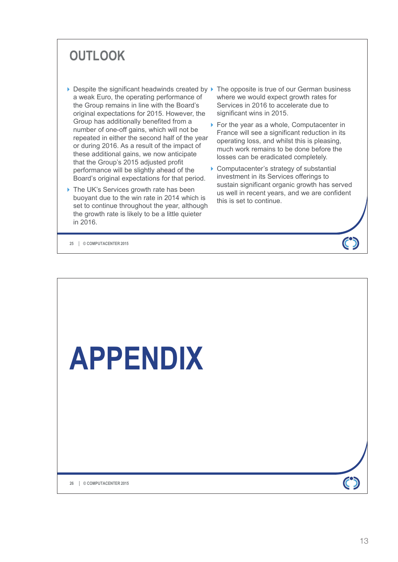# **OUTLOOK**

- a weak Euro, the operating performance of the Group remains in line with the Board's original expectations for 2015. However, the Group has additionally benefited from a number of one-off gains, which will not be repeated in either the second half of the year or during 2016. As a result of the impact of these additional gains, we now anticipate that the Group's 2015 adjusted profit performance will be slightly ahead of the Board's original expectations for that period.
- ▶ The UK's Services growth rate has been buoyant due to the win rate in 2014 which is set to continue throughout the year, although the growth rate is likely to be a little quieter in 2016.
- $\triangleright$  Despite the significant headwinds created by  $\triangleright$  The opposite is true of our German business where we would expect growth rates for Services in 2016 to accelerate due to significant wins in 2015.
	- ▶ For the year as a whole, Computacenter in France will see a significant reduction in its operating loss, and whilst this is pleasing, much work remains to be done before the losses can be eradicated completely.
	- ▶ Computacenter's strategy of substantial investment in its Services offerings to sustain significant organic growth has served us well in recent years, and we are confident this is set to continue.

**© COMPUTACENTER 2015 25**

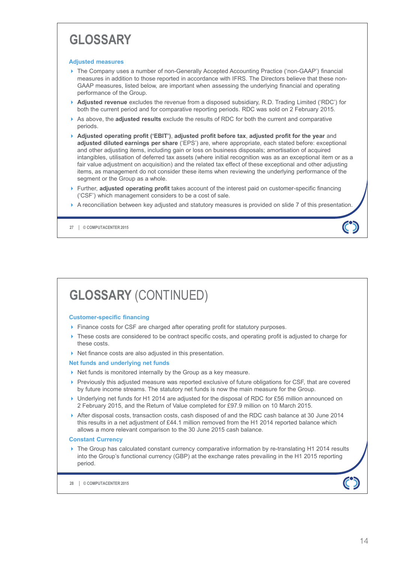# **GLOSSARY**

#### **Adjusted measures**

- ▶ The Company uses a number of non-Generally Accepted Accounting Practice ('non-GAAP') financial measures in addition to those reported in accordance with IFRS. The Directors believe that these non-GAAP measures, listed below, are important when assessing the underlying financial and operating performance of the Group.
- **Adjusted revenue** excludes the revenue from a disposed subsidiary, R.D. Trading Limited ('RDC') for both the current period and for comparative reporting periods. RDC was sold on 2 February 2015.
- As above, the **adjusted results** exclude the results of RDC for both the current and comparative periods.
- **Adjusted operating profit ('EBIT')**, **adjusted profit before tax**, **adjusted profit for the year** and **adjusted diluted earnings per share** ('EPS') are, where appropriate, each stated before: exceptional and other adjusting items, including gain or loss on business disposals; amortisation of acquired intangibles, utilisation of deferred tax assets (where initial recognition was as an exceptional item or as a fair value adjustment on acquisition) and the related tax effect of these exceptional and other adjusting items, as management do not consider these items when reviewing the underlying performance of the segment or the Group as a whole.
- **Further, adjusted operating profit takes account of the interest paid on customer-specific financing** ('CSF') which management considers to be a cost of sale.
- A reconciliation between key adjusted and statutory measures is provided on slide 7 of this presentation.

**© COMPUTACENTER 2015 27**

# **GLOSSARY** (CONTINUED)

#### **Customer-specific financing**

- Finance costs for CSF are charged after operating profit for statutory purposes.
- These costs are considered to be contract specific costs, and operating profit is adjusted to charge for these costs.
- $\blacktriangleright$  Net finance costs are also adjusted in this presentation.

#### **Net funds and underlying net funds**

- Net funds is monitored internally by the Group as a key measure.
- Previously this adjusted measure was reported exclusive of future obligations for CSF, that are covered by future income streams. The statutory net funds is now the main measure for the Group.
- ▶ Underlying net funds for H1 2014 are adjusted for the disposal of RDC for £56 million announced on 2 February 2015, and the Return of Value completed for £97.9 million on 10 March 2015.
- After disposal costs, transaction costs, cash disposed of and the RDC cash balance at 30 June 2014 this results in a net adjustment of £44.1 million removed from the H1 2014 reported balance which allows a more relevant comparison to the 30 June 2015 cash balance.

#### **Constant Currency**

 The Group has calculated constant currency comparative information by re-translating H1 2014 results into the Group's functional currency (GBP) at the exchange rates prevailing in the H1 2015 reporting period.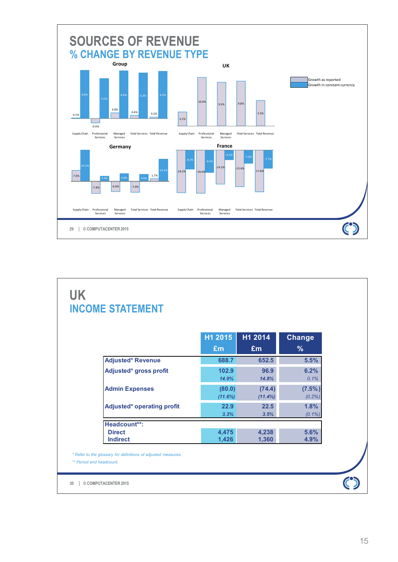

### **UK INCOME STATEMENT**

|                                   | H1 2015 | H1 2014    | <b>Change</b> |
|-----------------------------------|---------|------------|---------------|
|                                   | Em      | £m         | %             |
| <b>Adjusted* Revenue</b>          | 688.7   | 652.5      | 5.5%          |
| Adjusted* gross profit            | 102.9   | 96.9       | 6.2%          |
|                                   | 14.9%   | 14.8%      | 0.1%          |
| <b>Admin Expenses</b>             | (80.0)  | (74.4)     | $(7.5\%)$     |
|                                   | (11.6%) | $(11.4\%)$ | (0.2%)        |
| <b>Adjusted* operating profit</b> | 22.9    | 22.5       | 1.8%          |
|                                   | 3.3%    | 3.5%       | $(0.1\%)$     |
| Headcount**:                      |         |            |               |
| <b>Direct</b>                     | 4,475   | 4,238      | 5.6%          |
| <b>Indirect</b>                   | 1,426   | 1,360      | 4.9%          |

*\* Refer to the glossary for definitions of adjusted measures. \*\* Period end headcount.*

**© COMPUTACENTER 2015 30**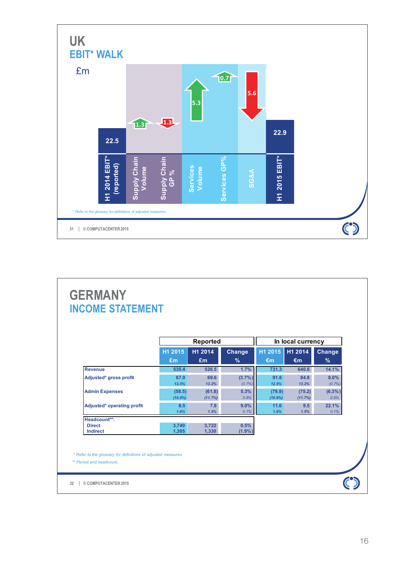

### **GERMANY INCOME STATEMENT**

|                                  |                      | <b>Reported</b>   |                   |                   | In local currency |                      |
|----------------------------------|----------------------|-------------------|-------------------|-------------------|-------------------|----------------------|
|                                  | H1 2015              | H1 2014           | <b>Change</b>     | H1 2015           | H1 2014           | <b>Change</b>        |
|                                  | £m                   | Em                | $\frac{9}{6}$     | $\epsilon$ m      | $\epsilon$ m      | $\%$                 |
| <b>Revenue</b>                   | 535.4                | 526.5             | 1.7%              | 731.3             | 640.8             | 14.1%                |
| Adjusted* gross profit           | 67.0<br>12.5%        | 69.6<br>13.2%     | (3.7%)<br>(0.7%   | 91.6<br>12.5%     | 84.8<br>13.2%     | $8.0\%$<br>$(0.7\%)$ |
| <b>Admin Expenses</b>            | (58.5)<br>$(10.9\%)$ | (61.8)<br>(11.7%) | 5.3%<br>0.8%      | (79.9)<br>(10.9%) | (75.2)<br>(11.7%) | $(6.3\%)$<br>0.8%    |
| Adjusted* operating profit       | 8.5<br>1.6%          | 7.8<br>1.5%       | 9.0%<br>0.1%      | 11.6<br>1.6%      | 9.5<br>1.5%       | 22.1%<br>0.1%        |
| Headcount**:                     |                      |                   |                   |                   |                   |                      |
| <b>Direct</b><br><b>Indirect</b> | 3,740<br>1.305       | 3,722<br>1,330    | 0.5%<br>$(1.9\%)$ |                   |                   |                      |

*\* Refer to the glossary for definitions of adjusted measures. \*\* Period end headcount.*

**© COMPUTACENTER 2015 32**

 $\epsilon$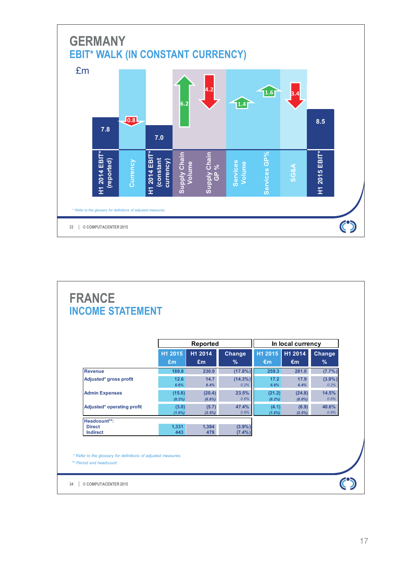

### **FRANCE INCOME STATEMENT**

|                                  |                    | <b>Reported</b>     |                     |                  | In local currency   |                   |
|----------------------------------|--------------------|---------------------|---------------------|------------------|---------------------|-------------------|
|                                  | H1 2015            | H1 2014             | <b>Change</b>       | H1 2015          | H1 2014             | <b>Change</b>     |
|                                  | Em                 | Em                  | $\frac{1}{2}$       | €m               | €m                  | $\frac{9}{6}$     |
| <b>Revenue</b>                   | 189.8              | 230.9               | $(17.8\%)$          | 259.3            | 281.0               | $(7.7\%)$         |
| Adjusted* gross profit           | 12.6<br>6.6%       | 14.7<br>6.4%        | $(14.3\%)$<br>0.2%  | 17.2<br>6.6%     | 17.9<br>6.4%        | $(3.9\%)$<br>0.2% |
| <b>Admin Expenses</b>            | (15.6)<br>(8.2%)   | (20.4)<br>$(8.8\%)$ | 23.5%<br>0.6%       | (21.2)<br>(8.2%) | (24.8)<br>$(8.8\%)$ | 14.5%<br>0.6%     |
| Adjusted* operating profit       | (3.0)<br>$(1.6\%)$ | (5.7)<br>(2.5%)     | 47.4%<br>0.9%       | (4.1)<br>(1.6%)  | (6.9)<br>(2.5%)     | 40.6%<br>0.9%     |
| Headcount**:                     |                    |                     |                     |                  |                     |                   |
| <b>Direct</b><br><b>Indirect</b> | 1,331<br>443       | 1.384<br>479        | (3.9%)<br>$(7.4\%)$ |                  |                     |                   |

*\* Refer to the glossary for definitions of adjusted measures. \*\* Period end headcount.*

**© COMPUTACENTER 2015 34**

 $\ddot{\mathbf{C}}$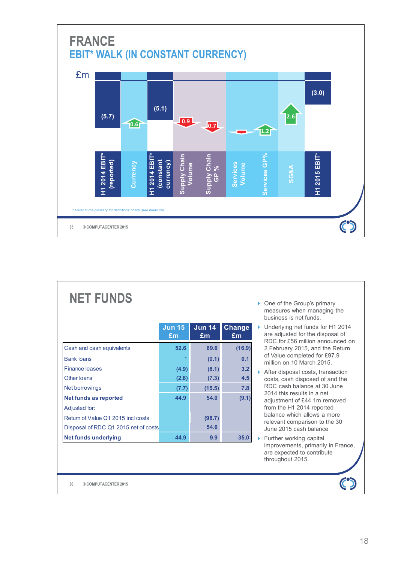

| <b>NET FUNDS</b>                     |                     |                     |              |
|--------------------------------------|---------------------|---------------------|--------------|
|                                      | <b>Jun 15</b><br>Em | <b>Jun 14</b><br>£m | Change<br>£m |
| Cash and cash equivalents            | 52.6                | 69.6                | (16.9)       |
| <b>Bank loans</b>                    |                     | (0.1)               | 0.1          |
| <b>Finance leases</b>                | (4.9)               | (8.1)               | 3.2          |
| Other loans                          | (2.8)               | (7.3)               | 4.5          |
| Net borrowings                       | (7.7)               | (15.5)              | 7.8          |
| <b>Net funds as reported</b>         | 44.9                | 54.0                | (9.1)        |
| Adjusted for:                        |                     |                     |              |
| Return of Value Q1 2015 incl costs   |                     | (98.7)              |              |
| Disposal of RDC Q1 2015 net of costs |                     | 54.6                |              |
| <b>Net funds underlying</b>          | 44.9                | 9.9                 | 35.0         |

- ▶ One of the Group's primary measures when managing the business is net funds.
- ▶ Underlying net funds for H1 2014 are adjusted for the disposal of RDC for £56 million announced on 2 February 2015, and the Return of Value completed for £97.9 million on 10 March 2015.
- $\triangleright$  After disposal costs, transaction costs, cash disposed of and the RDC cash balance at 30 June 2014 this results in a net adjustment of £44.1m removed from the H1 2014 reported balance which allows a more relevant comparison to the 30 June 2015 cash balance
- $\blacktriangleright$  Further working capital improvements, primarily in France, are expected to contribute throughout 2015.

**© COMPUTACENTER 2015 36**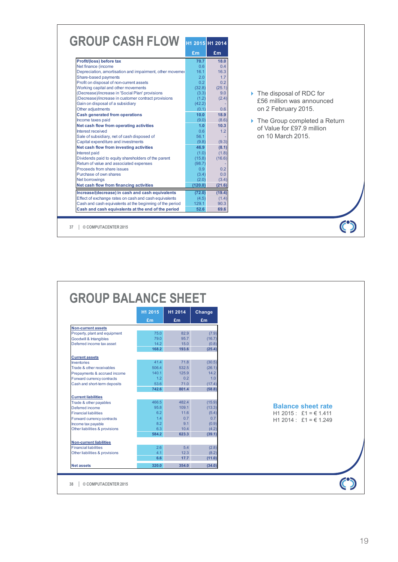| <b>GROUP CASH FLOW</b>                                   | H1 2015 H1 2014  |                |
|----------------------------------------------------------|------------------|----------------|
|                                                          | £m               | £m             |
| Profit/(loss) before tax                                 | 70.7             | 18.0           |
| Net finance (income                                      | 0 <sub>6</sub>   | 04             |
| Depreciation, amortisation and impairment, other movemer | 16 <sub>1</sub>  | 16.3           |
| Share-based payments                                     | 2.0              | 1.7            |
| Profit on disposal of non-current assets                 | 0 <sub>2</sub>   | 0 <sub>2</sub> |
| Working capital and other movements                      | (32.8)           | (25.1)         |
| (Decrease)/increase in 'Social Plan' provisions          | (3.3)            | 9.0            |
| (Decrease)/increase in customer contract provisions      | (1.2)            | (2.4)          |
| Gain on disposal of a subsidiary                         | (42.2)           |                |
| Other adjustments                                        | (0.1)            | 0.6            |
| <b>Cash generated from operations</b>                    | 10.0             | 18.9           |
| Income taxes paid                                        | (9.0)            | (8.6)          |
| Net cash flow from operating activities                  | 1.0 <sub>1</sub> | 10.3           |
| Interest received                                        | 0.6              | 1.2            |
| Sale of subsidiary, net of cash disposed of              | 56.1             |                |
| Capital expenditure and investments                      | (9.8)            | (9.3)          |
| Net cash flow from investing activities                  | 46.9             | (8.1)          |
| <b>Interest paid</b>                                     | (1.0)            | (1.8)          |
| Dividends paid to equity shareholders of the parent      | (15.8)           | (16.6)         |
| Return of value and associated expenses                  | (98.7)           |                |
| Proceeds from share issues                               | 0.9              | 0.2            |
| Purchase of own shares                                   | (3.4)            | 0.0            |
| Net borrowings                                           | (2.0)            | (3.4)          |
| Net cash flow from financing activities                  | (120.0)          | (21.6)         |
| Increase/(decrease) in cash and cash equivalents         | (72.0)           | (19.4)         |
| Effect of exchange rates on cash and cash equivalents    | (4.5)            | (1.4)          |
| Cash and cash equivalents at the beginning of the period | 129.1            | 90.3           |
| Cash and cash equivalents at the end of the period       | 52.6             | 69.6           |

▶ The disposal of RDC for £56 million was announced on 2 February 2015.

▶ The Group completed a Return of Value for £97.9 million on 10 March 2015.

 $\epsilon$ 

|                                | H1 2015 | H1 2014 | Change |
|--------------------------------|---------|---------|--------|
|                                | Em      | £m      | £m     |
| <b>Non-current assets</b>      |         |         |        |
| Property, plant and equipment  | 75.0    | 82.9    | (7.9)  |
| Goodwill & Intangibles         | 79.0    | 95.7    | (16.7) |
| Deferred income tax asset      | 14.2    | 15.0    | (0.8)  |
|                                | 168.2   | 193.6   | (25.4) |
| <b>Current assets</b>          |         |         |        |
| <b>Inventories</b>             | 41.4    | 71.8    | (30.5) |
| Trade & other receivables      | 506.4   | 532.5   | (26.1) |
| Prepayments & accrued income   | 140.1   | 125.9   | 14.2   |
| Forward currency contracts     | 1.2     | 0.2     | 1.0    |
| Cash and short-term deposits   | 53.6    | 71.0    | (17.4) |
|                                | 742.6   | 801.4   | (58.8) |
| <b>Current liabilities</b>     |         |         |        |
| Trade & other payables         | 466.5   | 482.4   | (15.9) |
| Deferred income                | 95.8    | 109.1   | (13.3) |
| <b>Financial liabilities</b>   | 6.2     | 11.6    | (5.4)  |
| Forward currency contracts     | 1.4     | 0.7     | 07     |
| Income tax payable             | 8.2     | 9.1     | (0.9)  |
| Other liabilities & provisions | 6.3     | 10.4    | (4.2)  |
|                                | 584.2   | 623.3   | (39.1) |
| <b>Non-current liabilities</b> |         |         |        |
| <b>Financial liabilities</b>   | 2.6     | 5.4     | (2.8)  |
| Other liabilities & provisions | 4.1     | 12.3    | (8.2)  |
|                                | 6.6     | 17.7    | (11.0) |
|                                | 320.0   | 354.0   | (34.0) |
| <b>Net assets</b>              |         |         |        |